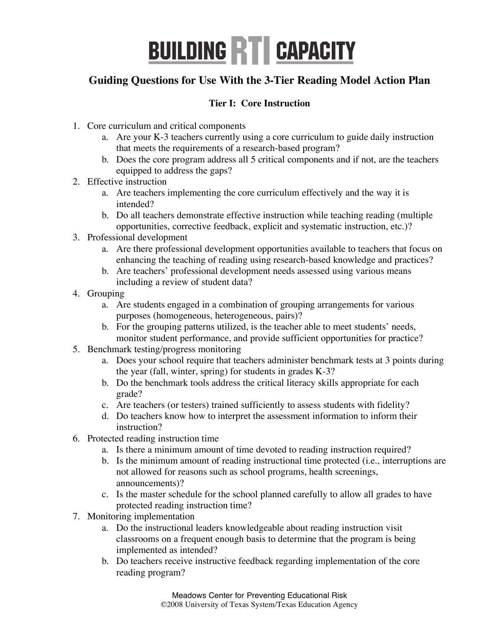## **BUILDING RTI CAPACITY**

### **Guiding Questions for Use With the 3-Tier Reading Model Action Plan**

### **Tier I: Core Instruction**

- 1. Core curriculum and critical components
	- a. Are your K-3 teachers currently using a core curriculum to guide daily instruction that meets the requirements of a research-based program?
	- b. Does the core program address all 5 critical components and if not, are the teachers equipped to address the gaps?
- 2. Effective instruction
	- a. Are teachers implementing the core curriculum effectively and the way it is intended?
	- b. Do all teachers demonstrate effective instruction while teaching reading (multiple opportunities, corrective feedback, explicit and systematic instruction, etc.)?
- 3. Professional development
	- a. Are there professional development opportunities available to teachers that focus on enhancing the teaching of reading using research-based knowledge and practices?
	- b. Are teachers' professional development needs assessed using various means including a review of student data?
- 4. Grouping
	- a. Are students engaged in a combination of grouping arrangements for various purposes (homogeneous, heterogeneous, pairs)?
	- b. For the grouping patterns utilized, is the teacher able to meet students' needs, monitor student performance, and provide sufficient opportunities for practice?
- 5. Benchmark testing/progress monitoring
	- a. Does your school require that teachers administer benchmark tests at 3 points during the year (fall, winter, spring) for students in grades K-3?
	- b. Do the benchmark tools address the critical literacy skills appropriate for each grade?
	- c. Are teachers (or testers) trained sufficiently to assess students with fidelity?
	- d. Do teachers know how to interpret the assessment information to inform their instruction?
- 6. Protected reading instruction time
	- a. Is there a minimum amount of time devoted to reading instruction required?
	- b. Is the minimum amount of reading instructional time protected (i.e., interruptions are not allowed for reasons such as school programs, health screenings, announcements)?
	- c. Is the master schedule for the school planned carefully to allow all grades to have protected reading instruction time?
- 7. Monitoring implementation
	- a. Do the instructional leaders knowledgeable about reading instruction visit classrooms on a frequent enough basis to determine that the program is being implemented as intended?
	- b. Do teachers receive instructive feedback regarding implementation of the core reading program?